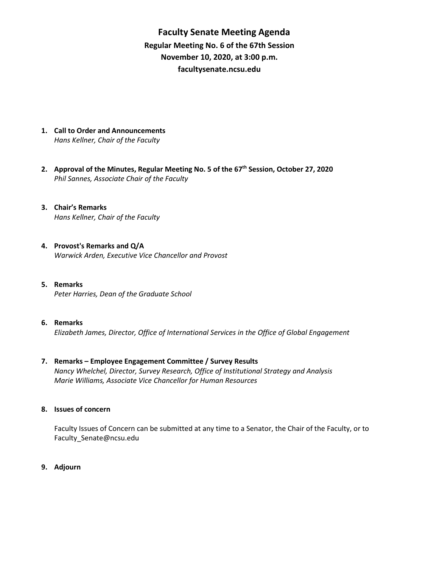**Faculty Senate Meeting Agenda Regular Meeting No. 6 of the 67th Session November 10, 2020, at 3:00 p.m. [facultysenate.ncsu.edu](https://facultysenate.ncsu.edu/)**

- **1. Call to Order and Announcements** *Hans Kellner, Chair of the Faculty*
- **2. Approval of the Minutes, Regular Meeting No. 5 of the 67th Session, October 27, 2020** *Phil Sannes, Associate Chair of the Faculty*
- **3. Chair's Remarks** *Hans Kellner, Chair of the Faculty*
- **4. Provost's Remarks and Q/A** *Warwick Arden, Executive Vice Chancellor and Provost*
- **5. Remarks**  *Peter Harries, Dean of the Graduate School*
- **6. Remarks**  *Elizabeth James, Director, Office of International Services in the Office of Global Engagement*
- **7. Remarks – Employee Engagement Committee / Survey Results** *Nancy Whelchel, Director, Survey Research, Office of Institutional Strategy and Analysis Marie Williams, Associate Vice Chancellor for Human Resources*
- **8. Issues of concern**

Faculty Issues of Concern can be submitted at any time to a Senator, the Chair of the Faculty, or to [Faculty\\_Senate@ncsu.edu](mailto:Faculty_Senate@ncsu.edu)

**9. Adjourn**